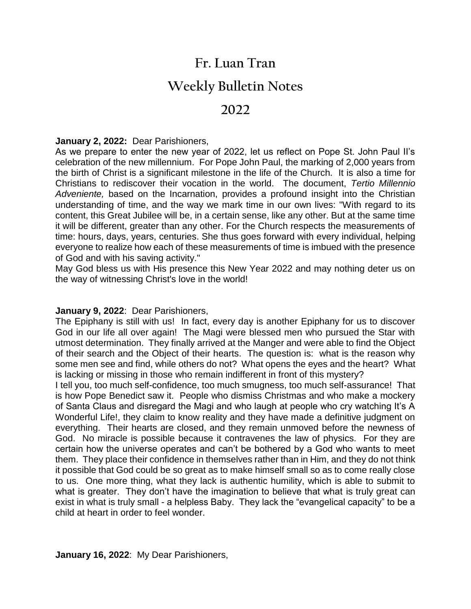## **Fr. Luan Tran**

# **Weekly Bulletin Notes**

## **2022**

#### **January 2, 2022:** Dear Parishioners,

As we prepare to enter the new year of 2022, let us reflect on Pope St. John Paul II's celebration of the new millennium. For Pope John Paul, the marking of 2,000 years from the birth of Christ is a significant milestone in the life of the Church. It is also a time for Christians to rediscover their vocation in the world. The document, *Tertio Millennio Adveniente,* based on the Incarnation, provides a profound insight into the Christian understanding of time, and the way we mark time in our own lives: "With regard to its content, this Great Jubilee will be, in a certain sense, like any other. But at the same time it will be different, greater than any other. For the Church respects the measurements of time: hours, days, years, centuries. She thus goes forward with every individual, helping everyone to realize how each of these measurements of time is imbued with the presence of God and with his saving activity."

May God bless us with His presence this New Year 2022 and may nothing deter us on the way of witnessing Christ's love in the world!

#### **January 9, 2022**: Dear Parishioners,

The Epiphany is still with us! In fact, every day is another Epiphany for us to discover God in our life all over again! The Magi were blessed men who pursued the Star with utmost determination. They finally arrived at the Manger and were able to find the Object of their search and the Object of their hearts. The question is: what is the reason why some men see and find, while others do not? What opens the eyes and the heart? What is lacking or missing in those who remain indifferent in front of this mystery?

I tell you, too much self-confidence, too much smugness, too much self-assurance! That is how Pope Benedict saw it. People who dismiss Christmas and who make a mockery of Santa Claus and disregard the Magi and who laugh at people who cry watching It's A Wonderful Life!, they claim to know reality and they have made a definitive judgment on everything. Their hearts are closed, and they remain unmoved before the newness of God. No miracle is possible because it contravenes the law of physics. For they are certain how the universe operates and can't be bothered by a God who wants to meet them. They place their confidence in themselves rather than in Him, and they do not think it possible that God could be so great as to make himself small so as to come really close to us. One more thing, what they lack is authentic humility, which is able to submit to what is greater. They don't have the imagination to believe that what is truly great can exist in what is truly small - a helpless Baby. They lack the "evangelical capacity" to be a child at heart in order to feel wonder.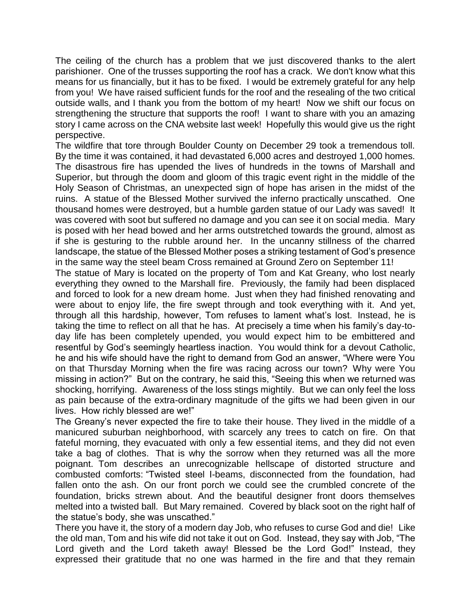The ceiling of the church has a problem that we just discovered thanks to the alert parishioner. One of the trusses supporting the roof has a crack. We don't know what this means for us financially, but it has to be fixed. I would be extremely grateful for any help from you! We have raised sufficient funds for the roof and the resealing of the two critical outside walls, and I thank you from the bottom of my heart! Now we shift our focus on strengthening the structure that supports the roof! I want to share with you an amazing story I came across on the CNA website last week! Hopefully this would give us the right perspective.

The wildfire that tore through Boulder County on December 29 took a tremendous toll. By the time it was contained, it had devastated 6,000 acres and destroyed 1,000 homes. The disastrous fire has upended the lives of hundreds in the towns of Marshall and Superior, but through the doom and gloom of this tragic event right in the middle of the Holy Season of Christmas, an unexpected sign of hope has arisen in the midst of the ruins. A statue of the Blessed Mother survived the inferno practically unscathed. One thousand homes were destroyed, but a humble garden statue of our Lady was saved! It was covered with soot but suffered no damage and you can see it on social media. Mary is posed with her head bowed and her arms outstretched towards the ground, almost as if she is gesturing to the rubble around her. In the uncanny stillness of the charred landscape, the statue of the Blessed Mother poses a striking testament of God's presence in the same way the steel beam Cross remained at Ground Zero on September 11!

The statue of Mary is located on the property of Tom and Kat Greany, who lost nearly everything they owned to the Marshall fire. Previously, the family had been displaced and forced to look for a new dream home. Just when they had finished renovating and were about to enjoy life, the fire swept through and took everything with it. And yet, through all this hardship, however, Tom refuses to lament what's lost. Instead, he is taking the time to reflect on all that he has. At precisely a time when his family's day-today life has been completely upended, you would expect him to be embittered and resentful by God's seemingly heartless inaction. You would think for a devout Catholic, he and his wife should have the right to demand from God an answer, "Where were You on that Thursday Morning when the fire was racing across our town? Why were You missing in action?" But on the contrary, he said this, "Seeing this when we returned was shocking, horrifying. Awareness of the loss stings mightily. But we can only feel the loss as pain because of the extra-ordinary magnitude of the gifts we had been given in our lives. How richly blessed are we!"

The Greany's never expected the fire to take their house. They lived in the middle of a manicured suburban neighborhood, with scarcely any trees to catch on fire. On that fateful morning, they evacuated with only a few essential items, and they did not even take a bag of clothes. That is why the sorrow when they returned was all the more poignant. Tom describes an unrecognizable hellscape of distorted structure and combusted comforts: "Twisted steel I-beams, disconnected from the foundation, had fallen onto the ash. On our front porch we could see the crumbled concrete of the foundation, bricks strewn about. And the beautiful designer front doors themselves melted into a twisted ball. But Mary remained. Covered by black soot on the right half of the statue's body, she was unscathed."

There you have it, the story of a modern day Job, who refuses to curse God and die! Like the old man, Tom and his wife did not take it out on God. Instead, they say with Job, "The Lord giveth and the Lord taketh away! Blessed be the Lord God!" Instead, they expressed their gratitude that no one was harmed in the fire and that they remain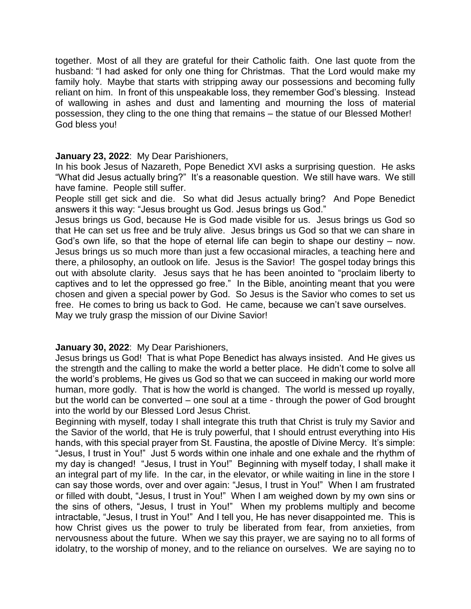together. Most of all they are grateful for their Catholic faith. One last quote from the husband: "I had asked for only one thing for Christmas. That the Lord would make my family holy. Maybe that starts with stripping away our possessions and becoming fully reliant on him. In front of this unspeakable loss, they remember God's blessing. Instead of wallowing in ashes and dust and lamenting and mourning the loss of material possession, they cling to the one thing that remains – the statue of our Blessed Mother! God bless you!

#### **January 23, 2022**: My Dear Parishioners,

In his book Jesus of Nazareth, Pope Benedict XVI asks a surprising question. He asks "What did Jesus actually bring?" It's a reasonable question. We still have wars. We still have famine. People still suffer.

People still get sick and die. So what did Jesus actually bring? And Pope Benedict answers it this way: "Jesus brought us God. Jesus brings us God."

Jesus brings us God, because He is God made visible for us. Jesus brings us God so that He can set us free and be truly alive. Jesus brings us God so that we can share in God's own life, so that the hope of eternal life can begin to shape our destiny – now. Jesus brings us so much more than just a few occasional miracles, a teaching here and there, a philosophy, an outlook on life. Jesus is the Savior! The gospel today brings this out with absolute clarity. Jesus says that he has been anointed to "proclaim liberty to captives and to let the oppressed go free." In the Bible, anointing meant that you were chosen and given a special power by God. So Jesus is the Savior who comes to set us free. He comes to bring us back to God. He came, because we can't save ourselves. May we truly grasp the mission of our Divine Savior!

#### **January 30, 2022**: My Dear Parishioners,

Jesus brings us God! That is what Pope Benedict has always insisted. And He gives us the strength and the calling to make the world a better place. He didn't come to solve all the world's problems, He gives us God so that we can succeed in making our world more human, more godly. That is how the world is changed. The world is messed up royally, but the world can be converted – one soul at a time - through the power of God brought into the world by our Blessed Lord Jesus Christ.

Beginning with myself, today I shall integrate this truth that Christ is truly my Savior and the Savior of the world, that He is truly powerful, that I should entrust everything into His hands, with this special prayer from St. Faustina, the apostle of Divine Mercy. It's simple: "Jesus, I trust in You!" Just 5 words within one inhale and one exhale and the rhythm of my day is changed! "Jesus, I trust in You!" Beginning with myself today, I shall make it an integral part of my life. In the car, in the elevator, or while waiting in line in the store I can say those words, over and over again: "Jesus, I trust in You!" When I am frustrated or filled with doubt, "Jesus, I trust in You!" When I am weighed down by my own sins or the sins of others, "Jesus, I trust in You!" When my problems multiply and become intractable, "Jesus, I trust in You!" And I tell you, He has never disappointed me. This is how Christ gives us the power to truly be liberated from fear, from anxieties, from nervousness about the future. When we say this prayer, we are saying no to all forms of idolatry, to the worship of money, and to the reliance on ourselves. We are saying no to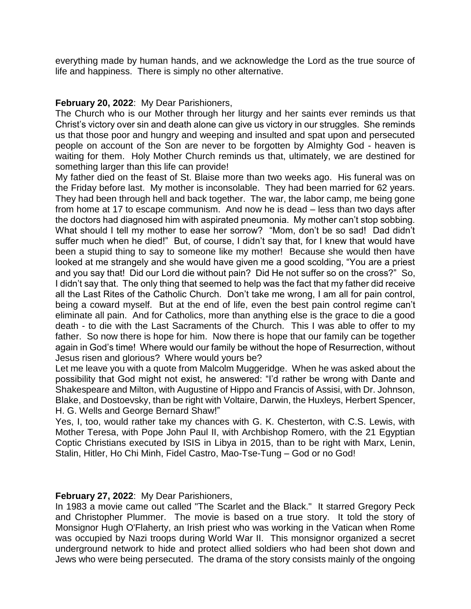everything made by human hands, and we acknowledge the Lord as the true source of life and happiness. There is simply no other alternative.

## **February 20, 2022**: My Dear Parishioners,

The Church who is our Mother through her liturgy and her saints ever reminds us that Christ's victory over sin and death alone can give us victory in our struggles. She reminds us that those poor and hungry and weeping and insulted and spat upon and persecuted people on account of the Son are never to be forgotten by Almighty God - heaven is waiting for them. Holy Mother Church reminds us that, ultimately, we are destined for something larger than this life can provide!

My father died on the feast of St. Blaise more than two weeks ago. His funeral was on the Friday before last. My mother is inconsolable. They had been married for 62 years. They had been through hell and back together. The war, the labor camp, me being gone from home at 17 to escape communism. And now he is dead – less than two days after the doctors had diagnosed him with aspirated pneumonia. My mother can't stop sobbing. What should I tell my mother to ease her sorrow? "Mom, don't be so sad! Dad didn't suffer much when he died!" But, of course, I didn't say that, for I knew that would have been a stupid thing to say to someone like my mother! Because she would then have looked at me strangely and she would have given me a good scolding, "You are a priest and you say that! Did our Lord die without pain? Did He not suffer so on the cross?" So, I didn't say that. The only thing that seemed to help was the fact that my father did receive all the Last Rites of the Catholic Church. Don't take me wrong, I am all for pain control, being a coward myself. But at the end of life, even the best pain control regime can't eliminate all pain. And for Catholics, more than anything else is the grace to die a good death - to die with the Last Sacraments of the Church. This I was able to offer to my father. So now there is hope for him. Now there is hope that our family can be together again in God's time! Where would our family be without the hope of Resurrection, without Jesus risen and glorious? Where would yours be?

Let me leave you with a quote from Malcolm Muggeridge. When he was asked about the possibility that God might not exist, he answered: "I'd rather be wrong with Dante and Shakespeare and Milton, with Augustine of Hippo and Francis of Assisi, with Dr. Johnson, Blake, and Dostoevsky, than be right with Voltaire, Darwin, the Huxleys, Herbert Spencer, H. G. Wells and George Bernard Shaw!"

Yes, I, too, would rather take my chances with G. K. Chesterton, with C.S. Lewis, with Mother Teresa, with Pope John Paul II, with Archbishop Romero, with the 21 Egyptian Coptic Christians executed by ISIS in Libya in 2015, than to be right with Marx, Lenin, Stalin, Hitler, Ho Chi Minh, Fidel Castro, Mao-Tse-Tung – God or no God!

## **February 27, 2022**: My Dear Parishioners,

In 1983 a movie came out called "The Scarlet and the Black." It starred Gregory Peck and Christopher Plummer. The movie is based on a true story. It told the story of Monsignor Hugh O'Flaherty, an Irish priest who was working in the Vatican when Rome was occupied by Nazi troops during World War II. This monsignor organized a secret underground network to hide and protect allied soldiers who had been shot down and Jews who were being persecuted. The drama of the story consists mainly of the ongoing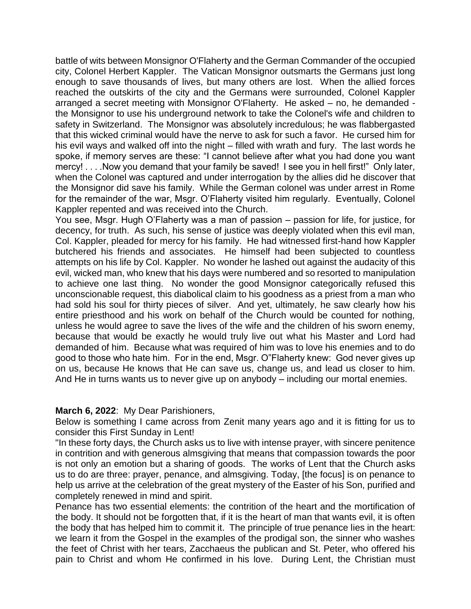battle of wits between Monsignor O'Flaherty and the German Commander of the occupied city, Colonel Herbert Kappler. The Vatican Monsignor outsmarts the Germans just long enough to save thousands of lives, but many others are lost. When the allied forces reached the outskirts of the city and the Germans were surrounded, Colonel Kappler arranged a secret meeting with Monsignor O'Flaherty. He asked – no, he demanded the Monsignor to use his underground network to take the Colonel's wife and children to safety in Switzerland. The Monsignor was absolutely incredulous; he was flabbergasted that this wicked criminal would have the nerve to ask for such a favor. He cursed him for his evil ways and walked off into the night – filled with wrath and fury. The last words he spoke, if memory serves are these: "I cannot believe after what you had done you want mercy! . . . .Now you demand that your family be saved! I see you in hell first!" Only later, when the Colonel was captured and under interrogation by the allies did he discover that the Monsignor did save his family. While the German colonel was under arrest in Rome for the remainder of the war, Msgr. O'Flaherty visited him regularly. Eventually, Colonel Kappler repented and was received into the Church.

You see, Msgr. Hugh O'Flaherty was a man of passion – passion for life, for justice, for decency, for truth. As such, his sense of justice was deeply violated when this evil man, Col. Kappler, pleaded for mercy for his family. He had witnessed first-hand how Kappler butchered his friends and associates. He himself had been subjected to countless attempts on his life by Col. Kappler. No wonder he lashed out against the audacity of this evil, wicked man, who knew that his days were numbered and so resorted to manipulation to achieve one last thing. No wonder the good Monsignor categorically refused this unconscionable request, this diabolical claim to his goodness as a priest from a man who had sold his soul for thirty pieces of silver. And yet, ultimately, he saw clearly how his entire priesthood and his work on behalf of the Church would be counted for nothing, unless he would agree to save the lives of the wife and the children of his sworn enemy, because that would be exactly he would truly live out what his Master and Lord had demanded of him. Because what was required of him was to love his enemies and to do good to those who hate him. For in the end, Msgr. O"Flaherty knew: God never gives up on us, because He knows that He can save us, change us, and lead us closer to him. And He in turns wants us to never give up on anybody – including our mortal enemies.

#### **March 6, 2022**: My Dear Parishioners,

Below is something I came across from Zenit many years ago and it is fitting for us to consider this First Sunday in Lent!

"In these forty days, the Church asks us to live with intense prayer, with sincere penitence in contrition and with generous almsgiving that means that compassion towards the poor is not only an emotion but a sharing of goods. The works of Lent that the Church asks us to do are three: prayer, penance, and almsgiving. Today, [the focus] is on penance to help us arrive at the celebration of the great mystery of the Easter of his Son, purified and completely renewed in mind and spirit.

Penance has two essential elements: the contrition of the heart and the mortification of the body. It should not be forgotten that, if it is the heart of man that wants evil, it is often the body that has helped him to commit it. The principle of true penance lies in the heart: we learn it from the Gospel in the examples of the prodigal son, the sinner who washes the feet of Christ with her tears, Zacchaeus the publican and St. Peter, who offered his pain to Christ and whom He confirmed in his love. During Lent, the Christian must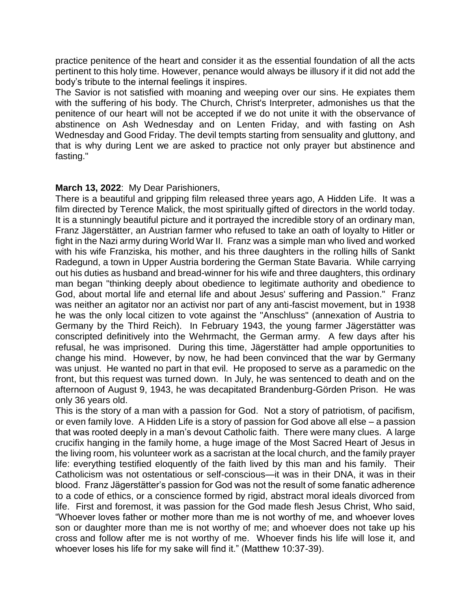practice penitence of the heart and consider it as the essential foundation of all the acts pertinent to this holy time. However, penance would always be illusory if it did not add the body's tribute to the internal feelings it inspires.

The Savior is not satisfied with moaning and weeping over our sins. He expiates them with the suffering of his body. The Church, Christ's Interpreter, admonishes us that the penitence of our heart will not be accepted if we do not unite it with the observance of abstinence on Ash Wednesday and on Lenten Friday, and with fasting on Ash Wednesday and Good Friday. The devil tempts starting from sensuality and gluttony, and that is why during Lent we are asked to practice not only prayer but abstinence and fasting."

#### **March 13, 2022**: My Dear Parishioners,

There is a beautiful and gripping film released three years ago, A Hidden Life. It was a film directed by Terence Malick, the most spiritually gifted of directors in the world today. It is a stunningly beautiful picture and it portrayed the incredible story of an ordinary man, Franz Jägerstätter, an Austrian farmer who refused to take an oath of loyalty to Hitler or fight in the Nazi army during World War II. Franz was a simple man who lived and worked with his wife Franziska, his mother, and his three daughters in the rolling hills of Sankt Radegund, a town in Upper Austria bordering the German State Bavaria. While carrying out his duties as husband and bread-winner for his wife and three daughters, this ordinary man began "thinking deeply about obedience to legitimate authority and obedience to God, about mortal life and eternal life and about Jesus' suffering and Passion." Franz was neither an agitator nor an activist nor part of any anti-fascist movement, but in 1938 he was the only local citizen to vote against the "Anschluss" (annexation of Austria to Germany by the Third Reich). In February 1943, the young farmer Jägerstätter was conscripted definitively into the Wehrmacht, the German army. A few days after his refusal, he was imprisoned. During this time, Jägerstätter had ample opportunities to change his mind. However, by now, he had been convinced that the war by Germany was unjust. He wanted no part in that evil. He proposed to serve as a paramedic on the front, but this request was turned down. In July, he was sentenced to death and on the afternoon of August 9, 1943, he was decapitated Brandenburg-Görden Prison. He was only 36 years old.

This is the story of a man with a passion for God. Not a story of patriotism, of pacifism, or even family love. A Hidden Life is a story of passion for God above all else – a passion that was rooted deeply in a man's devout Catholic faith. There were many clues. A large crucifix hanging in the family home, a huge image of the Most Sacred Heart of Jesus in the living room, his volunteer work as a sacristan at the local church, and the family prayer life: everything testified eloquently of the faith lived by this man and his family. Their Catholicism was not ostentatious or self-conscious—it was in their DNA, it was in their blood. Franz Jägerstätter's passion for God was not the result of some fanatic adherence to a code of ethics, or a conscience formed by rigid, abstract moral ideals divorced from life. First and foremost, it was passion for the God made flesh Jesus Christ, Who said, "Whoever loves father or mother more than me is not worthy of me, and whoever loves son or daughter more than me is not worthy of me; and whoever does not take up his cross and follow after me is not worthy of me. Whoever finds his life will lose it, and whoever loses his life for my sake will find it." (Matthew 10:37-39).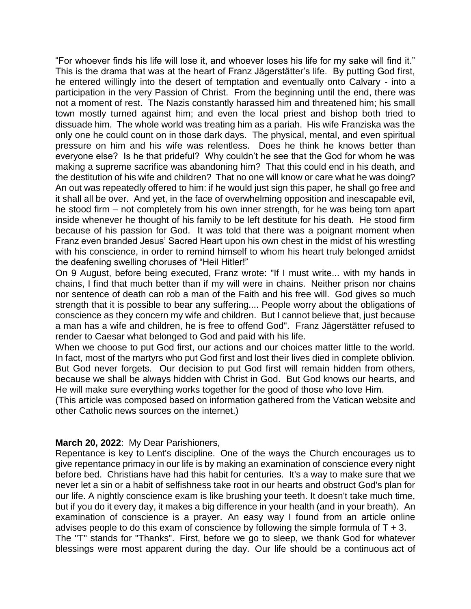"For whoever finds his life will lose it, and whoever loses his life for my sake will find it." This is the drama that was at the heart of Franz Jägerstätter's life. By putting God first, he entered willingly into the desert of temptation and eventually onto Calvary - into a participation in the very Passion of Christ. From the beginning until the end, there was not a moment of rest. The Nazis constantly harassed him and threatened him; his small town mostly turned against him; and even the local priest and bishop both tried to dissuade him. The whole world was treating him as a pariah. His wife Franziska was the only one he could count on in those dark days. The physical, mental, and even spiritual pressure on him and his wife was relentless. Does he think he knows better than everyone else? Is he that prideful? Why couldn't he see that the God for whom he was making a supreme sacrifice was abandoning him? That this could end in his death, and the destitution of his wife and children? That no one will know or care what he was doing? An out was repeatedly offered to him: if he would just sign this paper, he shall go free and it shall all be over. And yet, in the face of overwhelming opposition and inescapable evil, he stood firm – not completely from his own inner strength, for he was being torn apart inside whenever he thought of his family to be left destitute for his death. He stood firm because of his passion for God. It was told that there was a poignant moment when Franz even branded Jesus' Sacred Heart upon his own chest in the midst of his wrestling with his conscience, in order to remind himself to whom his heart truly belonged amidst the deafening swelling choruses of "Heil Hitler!"

On 9 August, before being executed, Franz wrote: "If I must write... with my hands in chains, I find that much better than if my will were in chains. Neither prison nor chains nor sentence of death can rob a man of the Faith and his free will. God gives so much strength that it is possible to bear any suffering.... People worry about the obligations of conscience as they concern my wife and children. But I cannot believe that, just because a man has a wife and children, he is free to offend God". Franz Jägerstätter refused to render to Caesar what belonged to God and paid with his life.

When we choose to put God first, our actions and our choices matter little to the world. In fact, most of the martyrs who put God first and lost their lives died in complete oblivion. But God never forgets. Our decision to put God first will remain hidden from others, because we shall be always hidden with Christ in God. But God knows our hearts, and He will make sure everything works together for the good of those who love Him.

(This article was composed based on information gathered from the Vatican website and other Catholic news sources on the internet.)

## **March 20, 2022**: My Dear Parishioners,

Repentance is key to Lent's discipline. One of the ways the Church encourages us to give repentance primacy in our life is by making an examination of conscience every night before bed. Christians have had this habit for centuries. It's a way to make sure that we never let a sin or a habit of selfishness take root in our hearts and obstruct God's plan for our life. A nightly conscience exam is like brushing your teeth. It doesn't take much time, but if you do it every day, it makes a big difference in your health (and in your breath). An examination of conscience is a prayer. An easy way I found from an article online advises people to do this exam of conscience by following the simple formula of  $T + 3$ . The "T" stands for "Thanks". First, before we go to sleep, we thank God for whatever blessings were most apparent during the day. Our life should be a continuous act of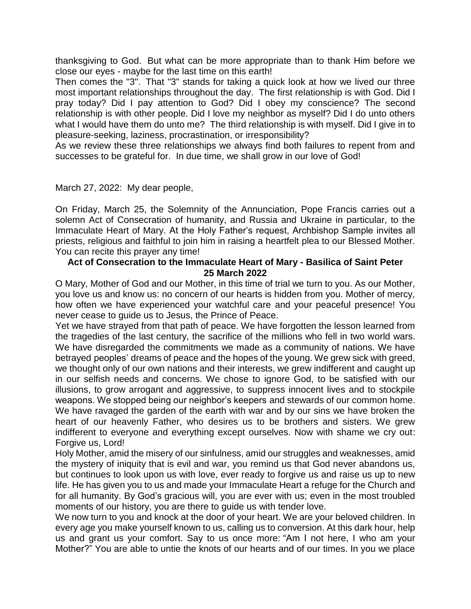thanksgiving to God. But what can be more appropriate than to thank Him before we close our eyes - maybe for the last time on this earth!

Then comes the "3". That "3" stands for taking a quick look at how we lived our three most important relationships throughout the day. The first relationship is with God. Did I pray today? Did I pay attention to God? Did I obey my conscience? The second relationship is with other people. Did I love my neighbor as myself? Did I do unto others what I would have them do unto me? The third relationship is with myself. Did I give in to pleasure-seeking, laziness, procrastination, or irresponsibility?

As we review these three relationships we always find both failures to repent from and successes to be grateful for. In due time, we shall grow in our love of God!

#### March 27, 2022: My dear people,

On Friday, March 25, the Solemnity of the Annunciation, Pope Francis carries out a solemn Act of Consecration of humanity, and Russia and Ukraine in particular, to the Immaculate Heart of Mary. At the Holy Father's request, Archbishop Sample invites all priests, religious and faithful to join him in raising a heartfelt plea to our Blessed Mother. You can recite this prayer any time!

#### **Act of Consecration to the Immaculate Heart of Mary - Basilica of Saint Peter 25 March 2022**

O Mary, Mother of God and our Mother, in this time of trial we turn to you. As our Mother, you love us and know us: no concern of our hearts is hidden from you. Mother of mercy, how often we have experienced your watchful care and your peaceful presence! You never cease to guide us to Jesus, the Prince of Peace.

Yet we have strayed from that path of peace. We have forgotten the lesson learned from the tragedies of the last century, the sacrifice of the millions who fell in two world wars. We have disregarded the commitments we made as a community of nations. We have betrayed peoples' dreams of peace and the hopes of the young. We grew sick with greed, we thought only of our own nations and their interests, we grew indifferent and caught up in our selfish needs and concerns. We chose to ignore God, to be satisfied with our illusions, to grow arrogant and aggressive, to suppress innocent lives and to stockpile weapons. We stopped being our neighbor's keepers and stewards of our common home. We have ravaged the garden of the earth with war and by our sins we have broken the heart of our heavenly Father, who desires us to be brothers and sisters. We grew indifferent to everyone and everything except ourselves. Now with shame we cry out: Forgive us, Lord!

Holy Mother, amid the misery of our sinfulness, amid our struggles and weaknesses, amid the mystery of iniquity that is evil and war, you remind us that God never abandons us, but continues to look upon us with love, ever ready to forgive us and raise us up to new life. He has given you to us and made your Immaculate Heart a refuge for the Church and for all humanity. By God's gracious will, you are ever with us; even in the most troubled moments of our history, you are there to guide us with tender love.

We now turn to you and knock at the door of your heart. We are your beloved children. In every age you make yourself known to us, calling us to conversion. At this dark hour, help us and grant us your comfort. Say to us once more: "Am I not here, I who am your Mother?" You are able to untie the knots of our hearts and of our times. In you we place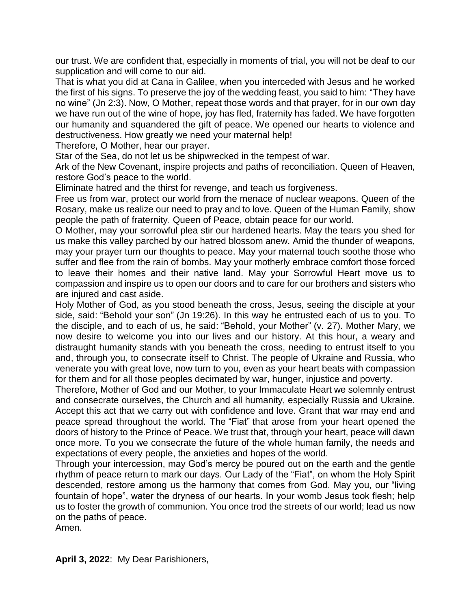our trust. We are confident that, especially in moments of trial, you will not be deaf to our supplication and will come to our aid.

That is what you did at Cana in Galilee, when you interceded with Jesus and he worked the first of his signs. To preserve the joy of the wedding feast, you said to him: "They have no wine" (Jn 2:3). Now, O Mother, repeat those words and that prayer, for in our own day we have run out of the wine of hope, joy has fled, fraternity has faded. We have forgotten our humanity and squandered the gift of peace. We opened our hearts to violence and destructiveness. How greatly we need your maternal help!

Therefore, O Mother, hear our prayer.

Star of the Sea, do not let us be shipwrecked in the tempest of war.

Ark of the New Covenant, inspire projects and paths of reconciliation. Queen of Heaven, restore God's peace to the world.

Eliminate hatred and the thirst for revenge, and teach us forgiveness.

Free us from war, protect our world from the menace of nuclear weapons. Queen of the Rosary, make us realize our need to pray and to love. Queen of the Human Family, show people the path of fraternity. Queen of Peace, obtain peace for our world.

O Mother, may your sorrowful plea stir our hardened hearts. May the tears you shed for us make this valley parched by our hatred blossom anew. Amid the thunder of weapons, may your prayer turn our thoughts to peace. May your maternal touch soothe those who suffer and flee from the rain of bombs. May your motherly embrace comfort those forced to leave their homes and their native land. May your Sorrowful Heart move us to compassion and inspire us to open our doors and to care for our brothers and sisters who are injured and cast aside.

Holy Mother of God, as you stood beneath the cross, Jesus, seeing the disciple at your side, said: "Behold your son" (Jn 19:26). In this way he entrusted each of us to you. To the disciple, and to each of us, he said: "Behold, your Mother" (v. 27). Mother Mary, we now desire to welcome you into our lives and our history. At this hour, a weary and distraught humanity stands with you beneath the cross, needing to entrust itself to you and, through you, to consecrate itself to Christ. The people of Ukraine and Russia, who venerate you with great love, now turn to you, even as your heart beats with compassion for them and for all those peoples decimated by war, hunger, injustice and poverty.

Therefore, Mother of God and our Mother, to your Immaculate Heart we solemnly entrust and consecrate ourselves, the Church and all humanity, especially Russia and Ukraine. Accept this act that we carry out with confidence and love. Grant that war may end and peace spread throughout the world. The "Fiat" that arose from your heart opened the doors of history to the Prince of Peace. We trust that, through your heart, peace will dawn once more. To you we consecrate the future of the whole human family, the needs and expectations of every people, the anxieties and hopes of the world.

Through your intercession, may God's mercy be poured out on the earth and the gentle rhythm of peace return to mark our days. Our Lady of the "Fiat", on whom the Holy Spirit descended, restore among us the harmony that comes from God. May you, our "living fountain of hope", water the dryness of our hearts. In your womb Jesus took flesh; help us to foster the growth of communion. You once trod the streets of our world; lead us now on the paths of peace.

Amen.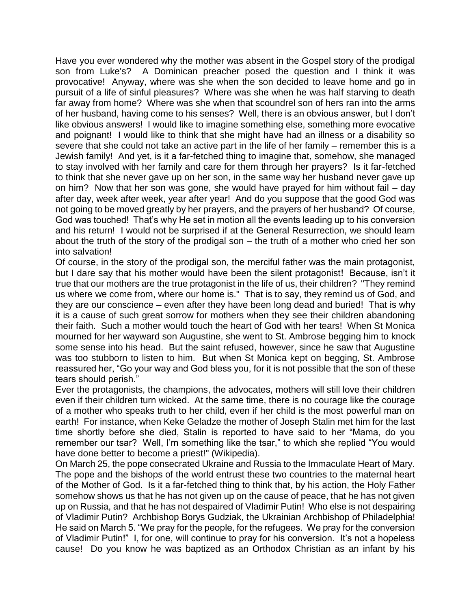Have you ever wondered why the mother was absent in the Gospel story of the prodigal son from Luke's? A Dominican preacher posed the question and I think it was provocative! Anyway, where was she when the son decided to leave home and go in pursuit of a life of sinful pleasures? Where was she when he was half starving to death far away from home? Where was she when that scoundrel son of hers ran into the arms of her husband, having come to his senses? Well, there is an obvious answer, but I don't like obvious answers! I would like to imagine something else, something more evocative and poignant! I would like to think that she might have had an illness or a disability so severe that she could not take an active part in the life of her family – remember this is a Jewish family! And yet, is it a far-fetched thing to imagine that, somehow, she managed to stay involved with her family and care for them through her prayers? Is it far-fetched to think that she never gave up on her son, in the same way her husband never gave up on him? Now that her son was gone, she would have prayed for him without fail – day after day, week after week, year after year! And do you suppose that the good God was not going to be moved greatly by her prayers, and the prayers of her husband? Of course, God was touched! That's why He set in motion all the events leading up to his conversion and his return! I would not be surprised if at the General Resurrection, we should learn about the truth of the story of the prodigal son – the truth of a mother who cried her son into salvation!

Of course, in the story of the prodigal son, the merciful father was the main protagonist, but I dare say that his mother would have been the silent protagonist! Because, isn't it true that our mothers are the true protagonist in the life of us, their children? "They remind us where we come from, where our home is." That is to say, they remind us of God, and they are our conscience – even after they have been long dead and buried! That is why it is a cause of such great sorrow for mothers when they see their children abandoning their faith. Such a mother would touch the heart of God with her tears! When St Monica mourned for her wayward son Augustine, she went to St. Ambrose begging him to knock some sense into his head. But the saint refused, however, since he saw that Augustine was too stubborn to listen to him. But when St Monica kept on begging, St. Ambrose reassured her, "Go your way and God bless you, for it is not possible that the son of these tears should perish."

Ever the protagonists, the champions, the advocates, mothers will still love their children even if their children turn wicked. At the same time, there is no courage like the courage of a mother who speaks truth to her child, even if her child is the most powerful man on earth! For instance, when Keke Geladze the mother of Joseph Stalin met him for the last time shortly before she died, Stalin is reported to have said to her "Mama, do you remember our tsar? Well, I'm something like the tsar," to which she replied "You would have done better to become a priest!" (Wikipedia).

On March 25, the pope consecrated Ukraine and Russia to the Immaculate Heart of Mary. The pope and the bishops of the world entrust these two countries to the maternal heart of the Mother of God. Is it a far-fetched thing to think that, by his action, the Holy Father somehow shows us that he has not given up on the cause of peace, that he has not given up on Russia, and that he has not despaired of Vladimir Putin! Who else is not despairing of Vladimir Putin? Archbishop Borys Gudziak, the Ukrainian Archbishop of Philadelphia! He said on March 5. "We pray for the people, for the refugees. We pray for the conversion of Vladimir Putin!" I, for one, will continue to pray for his conversion. It's not a hopeless cause! Do you know he was baptized as an Orthodox Christian as an infant by his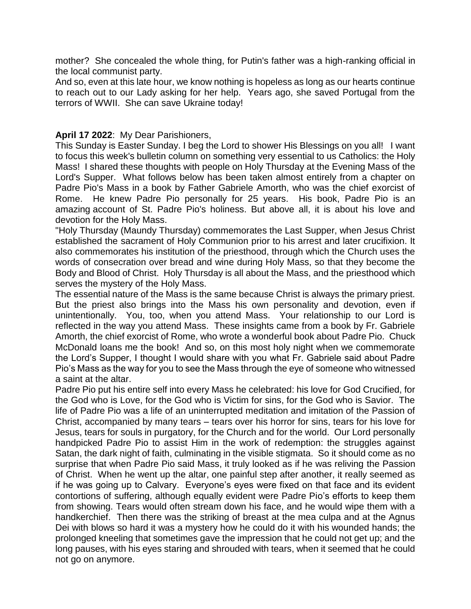mother? She concealed the whole thing, for Putin's father was a high-ranking official in the local communist party.

And so, even at this late hour, we know nothing is hopeless as long as our hearts continue to reach out to our Lady asking for her help. Years ago, she saved Portugal from the terrors of WWII. She can save Ukraine today!

### **April 17 2022**: My Dear Parishioners,

This Sunday is Easter Sunday. I beg the Lord to shower His Blessings on you all! I want to focus this week's bulletin column on something very essential to us Catholics: the Holy Mass! I shared these thoughts with people on Holy Thursday at the Evening Mass of the Lord's Supper. What follows below has been taken almost entirely from a chapter on Padre Pio's Mass in a book by Father Gabriele Amorth, who was the chief exorcist of Rome. He knew Padre Pio personally for 25 years. His book, Padre Pio is an amazing account of St. Padre Pio's holiness. But above all, it is about his love and devotion for the Holy Mass.

"Holy Thursday (Maundy Thursday) commemorates the Last Supper, when Jesus Christ established the sacrament of Holy Communion prior to his arrest and later crucifixion. It also commemorates his institution of the priesthood, through which the Church uses the words of consecration over bread and wine during Holy Mass, so that they become the Body and Blood of Christ. Holy Thursday is all about the Mass, and the priesthood which serves the mystery of the Holy Mass.

The essential nature of the Mass is the same because Christ is always the primary priest. But the priest also brings into the Mass his own personality and devotion, even if unintentionally. You, too, when you attend Mass. Your relationship to our Lord is reflected in the way you attend Mass. These insights came from a book by Fr. Gabriele Amorth, the chief exorcist of Rome, who wrote a wonderful book about Padre Pio. Chuck McDonald loans me the book! And so, on this most holy night when we commemorate the Lord's Supper, I thought I would share with you what Fr. Gabriele said about Padre Pio's Mass as the way for you to see the Mass through the eye of someone who witnessed a saint at the altar.

Padre Pio put his entire self into every Mass he celebrated: his love for God Crucified, for the God who is Love, for the God who is Victim for sins, for the God who is Savior. The life of Padre Pio was a life of an uninterrupted meditation and imitation of the Passion of Christ, accompanied by many tears – tears over his horror for sins, tears for his love for Jesus, tears for souls in purgatory, for the Church and for the world. Our Lord personally handpicked Padre Pio to assist Him in the work of redemption: the struggles against Satan, the dark night of faith, culminating in the visible stigmata. So it should come as no surprise that when Padre Pio said Mass, it truly looked as if he was reliving the Passion of Christ. When he went up the altar, one painful step after another, it really seemed as if he was going up to Calvary. Everyone's eyes were fixed on that face and its evident contortions of suffering, although equally evident were Padre Pio's efforts to keep them from showing. Tears would often stream down his face, and he would wipe them with a handkerchief. Then there was the striking of breast at the mea culpa and at the Agnus Dei with blows so hard it was a mystery how he could do it with his wounded hands; the prolonged kneeling that sometimes gave the impression that he could not get up; and the long pauses, with his eyes staring and shrouded with tears, when it seemed that he could not go on anymore.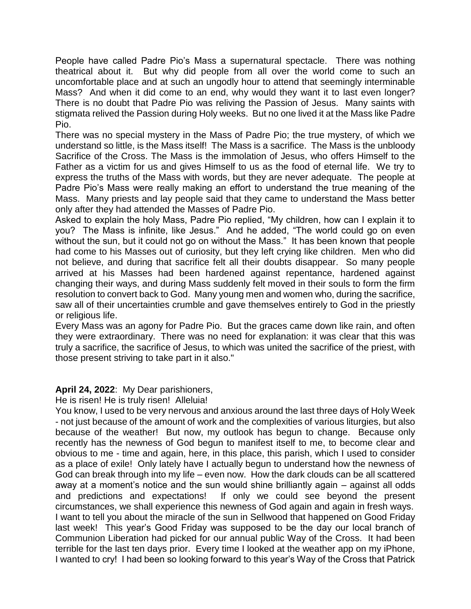People have called Padre Pio's Mass a supernatural spectacle. There was nothing theatrical about it. But why did people from all over the world come to such an uncomfortable place and at such an ungodly hour to attend that seemingly interminable Mass? And when it did come to an end, why would they want it to last even longer? There is no doubt that Padre Pio was reliving the Passion of Jesus. Many saints with stigmata relived the Passion during Holy weeks. But no one lived it at the Mass like Padre Pio.

There was no special mystery in the Mass of Padre Pio; the true mystery, of which we understand so little, is the Mass itself! The Mass is a sacrifice. The Mass is the unbloody Sacrifice of the Cross. The Mass is the immolation of Jesus, who offers Himself to the Father as a victim for us and gives Himself to us as the food of eternal life. We try to express the truths of the Mass with words, but they are never adequate. The people at Padre Pio's Mass were really making an effort to understand the true meaning of the Mass. Many priests and lay people said that they came to understand the Mass better only after they had attended the Masses of Padre Pio.

Asked to explain the holy Mass, Padre Pio replied, "My children, how can I explain it to you? The Mass is infinite, like Jesus." And he added, "The world could go on even without the sun, but it could not go on without the Mass." It has been known that people had come to his Masses out of curiosity, but they left crying like children. Men who did not believe, and during that sacrifice felt all their doubts disappear. So many people arrived at his Masses had been hardened against repentance, hardened against changing their ways, and during Mass suddenly felt moved in their souls to form the firm resolution to convert back to God. Many young men and women who, during the sacrifice, saw all of their uncertainties crumble and gave themselves entirely to God in the priestly or religious life.

Every Mass was an agony for Padre Pio. But the graces came down like rain, and often they were extraordinary. There was no need for explanation: it was clear that this was truly a sacrifice, the sacrifice of Jesus, to which was united the sacrifice of the priest, with those present striving to take part in it also."

## **April 24, 2022**: My Dear parishioners,

He is risen! He is truly risen! Alleluia!

You know, I used to be very nervous and anxious around the last three days of Holy Week - not just because of the amount of work and the complexities of various liturgies, but also because of the weather! But now, my outlook has begun to change. Because only recently has the newness of God begun to manifest itself to me, to become clear and obvious to me - time and again, here, in this place, this parish, which I used to consider as a place of exile! Only lately have I actually begun to understand how the newness of God can break through into my life – even now. How the dark clouds can be all scattered away at a moment's notice and the sun would shine brilliantly again – against all odds and predictions and expectations! If only we could see beyond the present circumstances, we shall experience this newness of God again and again in fresh ways. I want to tell you about the miracle of the sun in Sellwood that happened on Good Friday last week! This year's Good Friday was supposed to be the day our local branch of Communion Liberation had picked for our annual public Way of the Cross. It had been terrible for the last ten days prior. Every time I looked at the weather app on my iPhone, I wanted to cry! I had been so looking forward to this year's Way of the Cross that Patrick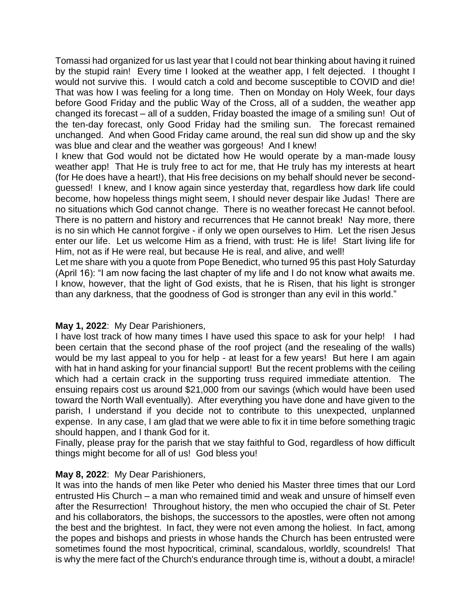Tomassi had organized for us last year that I could not bear thinking about having it ruined by the stupid rain! Every time I looked at the weather app, I felt dejected. I thought I would not survive this. I would catch a cold and become susceptible to COVID and die! That was how I was feeling for a long time. Then on Monday on Holy Week, four days before Good Friday and the public Way of the Cross, all of a sudden, the weather app changed its forecast – all of a sudden, Friday boasted the image of a smiling sun! Out of the ten-day forecast, only Good Friday had the smiling sun. The forecast remained unchanged. And when Good Friday came around, the real sun did show up and the sky was blue and clear and the weather was gorgeous! And I knew!

I knew that God would not be dictated how He would operate by a man-made lousy weather app! That He is truly free to act for me, that He truly has my interests at heart (for He does have a heart!), that His free decisions on my behalf should never be secondguessed! I knew, and I know again since yesterday that, regardless how dark life could become, how hopeless things might seem, I should never despair like Judas! There are no situations which God cannot change. There is no weather forecast He cannot befool. There is no pattern and history and recurrences that He cannot break! Nay more, there is no sin which He cannot forgive - if only we open ourselves to Him. Let the risen Jesus enter our life. Let us welcome Him as a friend, with trust: He is life! Start living life for Him, not as if He were real, but because He is real, and alive, and well!

Let me share with you a quote from Pope Benedict, who turned 95 this past Holy Saturday (April 16): "I am now facing the last chapter of my life and I do not know what awaits me. I know, however, that the light of God exists, that he is Risen, that his light is stronger than any darkness, that the goodness of God is stronger than any evil in this world."

## **May 1, 2022**: My Dear Parishioners,

I have lost track of how many times I have used this space to ask for your help! I had been certain that the second phase of the roof project (and the resealing of the walls) would be my last appeal to you for help - at least for a few years! But here I am again with hat in hand asking for your financial support! But the recent problems with the ceiling which had a certain crack in the supporting truss required immediate attention. The ensuing repairs cost us around \$21,000 from our savings (which would have been used toward the North Wall eventually). After everything you have done and have given to the parish, I understand if you decide not to contribute to this unexpected, unplanned expense. In any case, I am glad that we were able to fix it in time before something tragic should happen, and I thank God for it.

Finally, please pray for the parish that we stay faithful to God, regardless of how difficult things might become for all of us! God bless you!

## **May 8, 2022**: My Dear Parishioners,

It was into the hands of men like Peter who denied his Master three times that our Lord entrusted His Church – a man who remained timid and weak and unsure of himself even after the Resurrection! Throughout history, the men who occupied the chair of St. Peter and his collaborators, the bishops, the successors to the apostles, were often not among the best and the brightest. In fact, they were not even among the holiest. In fact, among the popes and bishops and priests in whose hands the Church has been entrusted were sometimes found the most hypocritical, criminal, scandalous, worldly, scoundrels! That is why the mere fact of the Church's endurance through time is, without a doubt, a miracle!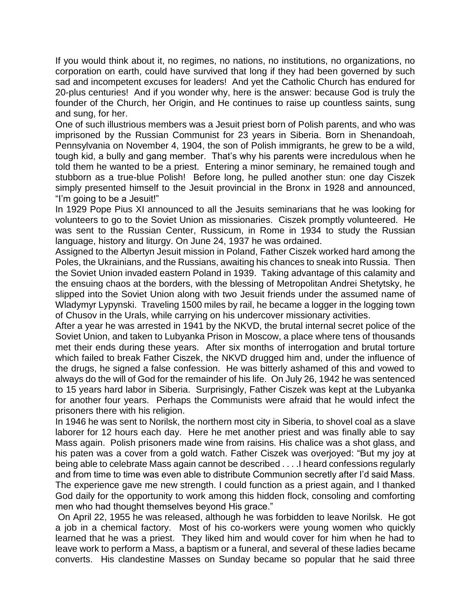If you would think about it, no regimes, no nations, no institutions, no organizations, no corporation on earth, could have survived that long if they had been governed by such sad and incompetent excuses for leaders! And yet the Catholic Church has endured for 20-plus centuries! And if you wonder why, here is the answer: because God is truly the founder of the Church, her Origin, and He continues to raise up countless saints, sung and sung, for her.

One of such illustrious members was a Jesuit priest born of Polish parents, and who was imprisoned by the Russian Communist for 23 years in Siberia. Born in Shenandoah, Pennsylvania on November 4, 1904, the son of Polish immigrants, he grew to be a wild, tough kid, a bully and gang member. That's why his parents were incredulous when he told them he wanted to be a priest. Entering a minor seminary, he remained tough and stubborn as a true-blue Polish! Before long, he pulled another stun: one day Ciszek simply presented himself to the Jesuit provincial in the Bronx in 1928 and announced, "I'm going to be a Jesuit!"

In 1929 Pope Pius XI announced to all the Jesuits seminarians that he was looking for volunteers to go to the Soviet Union as missionaries. Ciszek promptly volunteered. He was sent to the Russian Center, Russicum, in Rome in 1934 to study the Russian language, history and liturgy. On June 24, 1937 he was ordained.

Assigned to the Albertyn Jesuit mission in Poland, Father Ciszek worked hard among the Poles, the Ukrainians, and the Russians, awaiting his chances to sneak into Russia. Then the Soviet Union invaded eastern Poland in 1939. Taking advantage of this calamity and the ensuing chaos at the borders, with the blessing of Metropolitan Andrei Shetytsky, he slipped into the Soviet Union along with two Jesuit friends under the assumed name of Wladymyr Lypynski. Traveling 1500 miles by rail, he became a logger in the logging town of Chusov in the Urals, while carrying on his undercover missionary activities.

After a year he was arrested in 1941 by the NKVD, the brutal internal secret police of the Soviet Union, and taken to Lubyanka Prison in Moscow, a place where tens of thousands met their ends during these years. After six months of interrogation and brutal torture which failed to break Father Ciszek, the NKVD drugged him and, under the influence of the drugs, he signed a false confession. He was bitterly ashamed of this and vowed to always do the will of God for the remainder of his life. On July 26, 1942 he was sentenced to 15 years hard labor in Siberia. Surprisingly, Father Ciszek was kept at the Lubyanka for another four years. Perhaps the Communists were afraid that he would infect the prisoners there with his religion.

In 1946 he was sent to Norilsk, the northern most city in Siberia, to shovel coal as a slave laborer for 12 hours each day. Here he met another priest and was finally able to say Mass again. Polish prisoners made wine from raisins. His chalice was a shot glass, and his paten was a cover from a gold watch. Father Ciszek was overjoyed: "But my joy at being able to celebrate Mass again cannot be described . . . .I heard confessions regularly and from time to time was even able to distribute Communion secretly after I'd said Mass. The experience gave me new strength. I could function as a priest again, and I thanked God daily for the opportunity to work among this hidden flock, consoling and comforting men who had thought themselves beyond His grace."

On April 22, 1955 he was released, although he was forbidden to leave Norilsk. He got a job in a chemical factory. Most of his co-workers were young women who quickly learned that he was a priest. They liked him and would cover for him when he had to leave work to perform a Mass, a baptism or a funeral, and several of these ladies became converts. His clandestine Masses on Sunday became so popular that he said three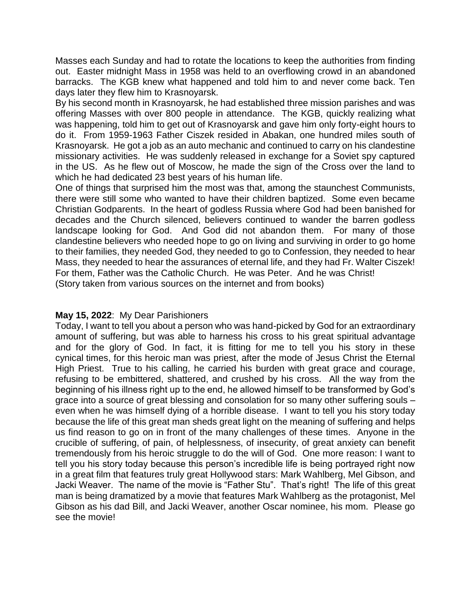Masses each Sunday and had to rotate the locations to keep the authorities from finding out. Easter midnight Mass in 1958 was held to an overflowing crowd in an abandoned barracks. The KGB knew what happened and told him to and never come back. Ten days later they flew him to Krasnoyarsk.

By his second month in Krasnoyarsk, he had established three mission parishes and was offering Masses with over 800 people in attendance. The KGB, quickly realizing what was happening, told him to get out of Krasnoyarsk and gave him only forty-eight hours to do it. From 1959-1963 Father Ciszek resided in Abakan, one hundred miles south of Krasnoyarsk. He got a job as an auto mechanic and continued to carry on his clandestine missionary activities. He was suddenly released in exchange for a Soviet spy captured in the US. As he flew out of Moscow, he made the sign of the Cross over the land to which he had dedicated 23 best years of his human life.

One of things that surprised him the most was that, among the staunchest Communists, there were still some who wanted to have their children baptized. Some even became Christian Godparents. In the heart of godless Russia where God had been banished for decades and the Church silenced, believers continued to wander the barren godless landscape looking for God. And God did not abandon them. For many of those clandestine believers who needed hope to go on living and surviving in order to go home to their families, they needed God, they needed to go to Confession, they needed to hear Mass, they needed to hear the assurances of eternal life, and they had Fr. Walter Ciszek! For them, Father was the Catholic Church. He was Peter. And he was Christ! (Story taken from various sources on the internet and from books)

## **May 15, 2022**: My Dear Parishioners

Today, I want to tell you about a person who was hand-picked by God for an extraordinary amount of suffering, but was able to harness his cross to his great spiritual advantage and for the glory of God. In fact, it is fitting for me to tell you his story in these cynical times, for this heroic man was priest, after the mode of Jesus Christ the Eternal High Priest. True to his calling, he carried his burden with great grace and courage, refusing to be embittered, shattered, and crushed by his cross. All the way from the beginning of his illness right up to the end, he allowed himself to be transformed by God's grace into a source of great blessing and consolation for so many other suffering souls – even when he was himself dying of a horrible disease. I want to tell you his story today because the life of this great man sheds great light on the meaning of suffering and helps us find reason to go on in front of the many challenges of these times. Anyone in the crucible of suffering, of pain, of helplessness, of insecurity, of great anxiety can benefit tremendously from his heroic struggle to do the will of God. One more reason: I want to tell you his story today because this person's incredible life is being portrayed right now in a great film that features truly great Hollywood stars: Mark Wahlberg, Mel Gibson, and Jacki Weaver. The name of the movie is "Father Stu". That's right! The life of this great man is being dramatized by a movie that features Mark Wahlberg as the protagonist, Mel Gibson as his dad Bill, and Jacki Weaver, another Oscar nominee, his mom. Please go see the movie!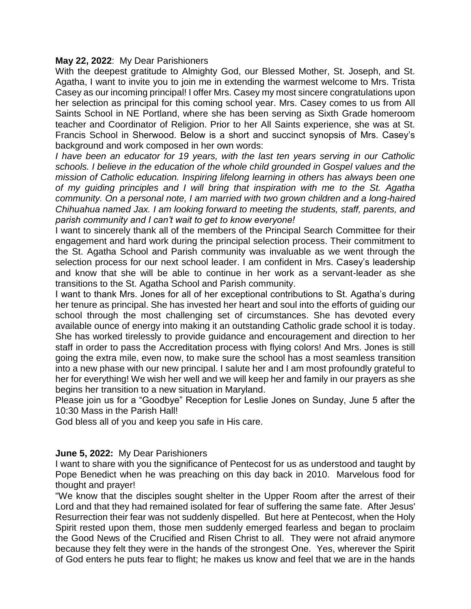#### **May 22, 2022**: My Dear Parishioners

With the deepest gratitude to Almighty God, our Blessed Mother, St. Joseph, and St. Agatha, I want to invite you to join me in extending the warmest welcome to Mrs. Trista Casey as our incoming principal! I offer Mrs. Casey my most sincere congratulations upon her selection as principal for this coming school year. Mrs. Casey comes to us from All Saints School in NE Portland, where she has been serving as Sixth Grade homeroom teacher and Coordinator of Religion. Prior to her All Saints experience, she was at St. Francis School in Sherwood. Below is a short and succinct synopsis of Mrs. Casey's background and work composed in her own words:

*I have been an educator for 19 years, with the last ten years serving in our Catholic schools. I believe in the education of the whole child grounded in Gospel values and the mission of Catholic education. Inspiring lifelong learning in others has always been one of my guiding principles and I will bring that inspiration with me to the St. Agatha community. On a personal note, I am married with two grown children and a long-haired Chihuahua named Jax. I am looking forward to meeting the students, staff, parents, and parish community and I can't wait to get to know everyone!*

I want to sincerely thank all of the members of the Principal Search Committee for their engagement and hard work during the principal selection process. Their commitment to the St. Agatha School and Parish community was invaluable as we went through the selection process for our next school leader. I am confident in Mrs. Casey's leadership and know that she will be able to continue in her work as a servant-leader as she transitions to the St. Agatha School and Parish community.

I want to thank Mrs. Jones for all of her exceptional contributions to St. Agatha's during her tenure as principal. She has invested her heart and soul into the efforts of guiding our school through the most challenging set of circumstances. She has devoted every available ounce of energy into making it an outstanding Catholic grade school it is today. She has worked tirelessly to provide guidance and encouragement and direction to her staff in order to pass the Accreditation process with flying colors! And Mrs. Jones is still going the extra mile, even now, to make sure the school has a most seamless transition into a new phase with our new principal. I salute her and I am most profoundly grateful to her for everything! We wish her well and we will keep her and family in our prayers as she begins her transition to a new situation in Maryland.

Please join us for a "Goodbye" Reception for Leslie Jones on Sunday, June 5 after the 10:30 Mass in the Parish Hall!

God bless all of you and keep you safe in His care.

## **June 5, 2022:** My Dear Parishioners

I want to share with you the significance of Pentecost for us as understood and taught by Pope Benedict when he was preaching on this day back in 2010. Marvelous food for thought and prayer!

"We know that the disciples sought shelter in the Upper Room after the arrest of their Lord and that they had remained isolated for fear of suffering the same fate. After Jesus' Resurrection their fear was not suddenly dispelled. But here at Pentecost, when the Holy Spirit rested upon them, those men suddenly emerged fearless and began to proclaim the Good News of the Crucified and Risen Christ to all. They were not afraid anymore because they felt they were in the hands of the strongest One. Yes, wherever the Spirit of God enters he puts fear to flight; he makes us know and feel that we are in the hands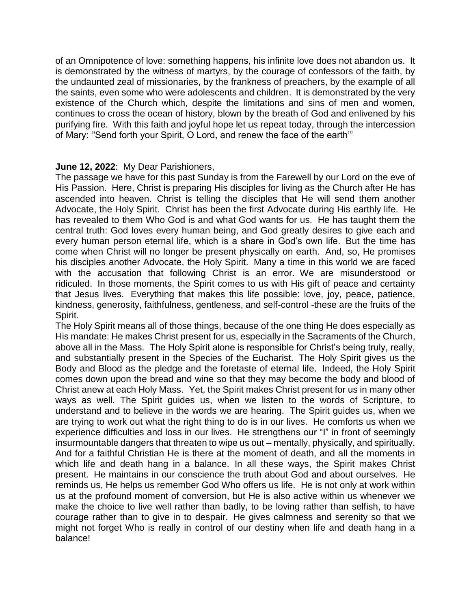of an Omnipotence of love: something happens, his infinite love does not abandon us. It is demonstrated by the witness of martyrs, by the courage of confessors of the faith, by the undaunted zeal of missionaries, by the frankness of preachers, by the example of all the saints, even some who were adolescents and children. It is demonstrated by the very existence of the Church which, despite the limitations and sins of men and women, continues to cross the ocean of history, blown by the breath of God and enlivened by his purifying fire. With this faith and joyful hope let us repeat today, through the intercession of Mary: ''Send forth your Spirit, O Lord, and renew the face of the earth'"

## **June 12, 2022**: My Dear Parishioners,

The passage we have for this past Sunday is from the Farewell by our Lord on the eve of His Passion. Here, Christ is preparing His disciples for living as the Church after He has ascended into heaven. Christ is telling the disciples that He will send them another Advocate, the Holy Spirit. Christ has been the first Advocate during His earthly life. He has revealed to them Who God is and what God wants for us. He has taught them the central truth: God loves every human being, and God greatly desires to give each and every human person eternal life, which is a share in God's own life. But the time has come when Christ will no longer be present physically on earth. And, so, He promises his disciples another Advocate, the Holy Spirit. Many a time in this world we are faced with the accusation that following Christ is an error. We are misunderstood or ridiculed. In those moments, the Spirit comes to us with His gift of peace and certainty that Jesus lives. Everything that makes this life possible: love, joy, peace, patience, kindness, generosity, faithfulness, gentleness, and self-control -these are the fruits of the Spirit.

The Holy Spirit means all of those things, because of the one thing He does especially as His mandate: He makes Christ present for us, especially in the Sacraments of the Church, above all in the Mass. The Holy Spirit alone is responsible for Christ's being truly, really, and substantially present in the Species of the Eucharist. The Holy Spirit gives us the Body and Blood as the pledge and the foretaste of eternal life. Indeed, the Holy Spirit comes down upon the bread and wine so that they may become the body and blood of Christ anew at each Holy Mass. Yet, the Spirit makes Christ present for us in many other ways as well. The Spirit guides us, when we listen to the words of Scripture, to understand and to believe in the words we are hearing. The Spirit guides us, when we are trying to work out what the right thing to do is in our lives. He comforts us when we experience difficulties and loss in our lives. He strengthens our "I" in front of seemingly insurmountable dangers that threaten to wipe us out – mentally, physically, and spiritually. And for a faithful Christian He is there at the moment of death, and all the moments in which life and death hang in a balance. In all these ways, the Spirit makes Christ present. He maintains in our conscience the truth about God and about ourselves. He reminds us, He helps us remember God Who offers us life. He is not only at work within us at the profound moment of conversion, but He is also active within us whenever we make the choice to live well rather than badly, to be loving rather than selfish, to have courage rather than to give in to despair. He gives calmness and serenity so that we might not forget Who is really in control of our destiny when life and death hang in a balance!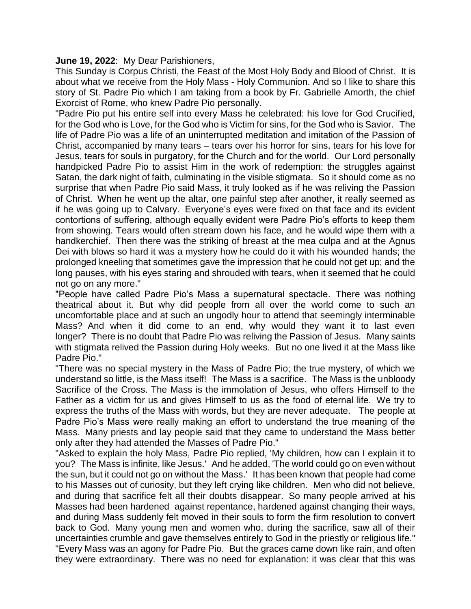#### **June 19, 2022**: My Dear Parishioners,

This Sunday is Corpus Christi, the Feast of the Most Holy Body and Blood of Christ. It is about what we receive from the Holy Mass - Holy Communion. And so I like to share this story of St. Padre Pio which I am taking from a book by Fr. Gabrielle Amorth, the chief Exorcist of Rome, who knew Padre Pio personally.

"Padre Pio put his entire self into every Mass he celebrated: his love for God Crucified, for the God who is Love, for the God who is Victim for sins, for the God who is Savior. The life of Padre Pio was a life of an uninterrupted meditation and imitation of the Passion of Christ, accompanied by many tears – tears over his horror for sins, tears for his love for Jesus, tears for souls in purgatory, for the Church and for the world. Our Lord personally handpicked Padre Pio to assist Him in the work of redemption: the struggles against Satan, the dark night of faith, culminating in the visible stigmata. So it should come as no surprise that when Padre Pio said Mass, it truly looked as if he was reliving the Passion of Christ. When he went up the altar, one painful step after another, it really seemed as if he was going up to Calvary. Everyone's eyes were fixed on that face and its evident contortions of suffering, although equally evident were Padre Pio's efforts to keep them from showing. Tears would often stream down his face, and he would wipe them with a handkerchief. Then there was the striking of breast at the mea culpa and at the Agnus Dei with blows so hard it was a mystery how he could do it with his wounded hands; the prolonged kneeling that sometimes gave the impression that he could not get up; and the long pauses, with his eyes staring and shrouded with tears, when it seemed that he could not go on any more."

"People have called Padre Pio's Mass a supernatural spectacle. There was nothing theatrical about it. But why did people from all over the world come to such an uncomfortable place and at such an ungodly hour to attend that seemingly interminable Mass? And when it did come to an end, why would they want it to last even longer? There is no doubt that Padre Pio was reliving the Passion of Jesus. Many saints with stigmata relived the Passion during Holy weeks. But no one lived it at the Mass like Padre Pio."

"There was no special mystery in the Mass of Padre Pio; the true mystery, of which we understand so little, is the Mass itself! The Mass is a sacrifice. The Mass is the unbloody Sacrifice of the Cross. The Mass is the immolation of Jesus, who offers Himself to the Father as a victim for us and gives Himself to us as the food of eternal life. We try to express the truths of the Mass with words, but they are never adequate. The people at Padre Pio's Mass were really making an effort to understand the true meaning of the Mass. Many priests and lay people said that they came to understand the Mass better only after they had attended the Masses of Padre Pio."

"Asked to explain the holy Mass, Padre Pio replied, 'My children, how can I explain it to you? The Mass is infinite, like Jesus.' And he added, 'The world could go on even without the sun, but it could not go on without the Mass.' It has been known that people had come to his Masses out of curiosity, but they left crying like children. Men who did not believe, and during that sacrifice felt all their doubts disappear. So many people arrived at his Masses had been hardened against repentance, hardened against changing their ways, and during Mass suddenly felt moved in their souls to form the firm resolution to convert back to God. Many young men and women who, during the sacrifice, saw all of their uncertainties crumble and gave themselves entirely to God in the priestly or religious life." "Every Mass was an agony for Padre Pio. But the graces came down like rain, and often they were extraordinary. There was no need for explanation: it was clear that this was